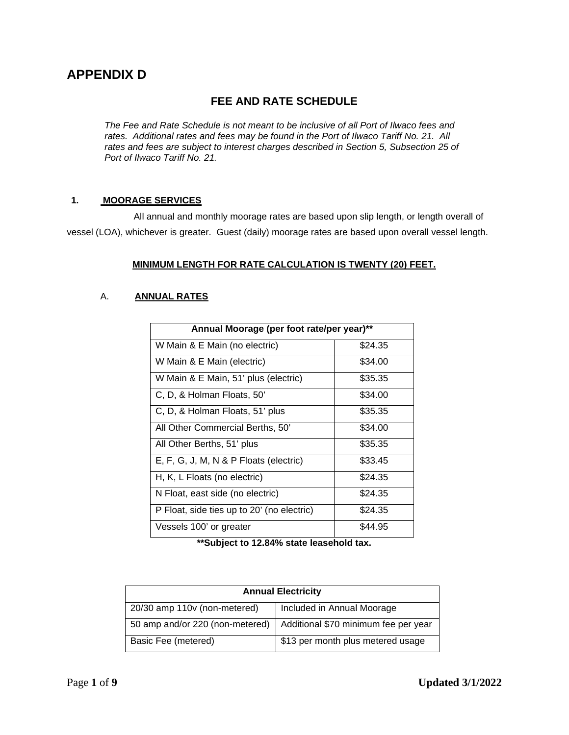# **APPENDIX D**

# **FEE AND RATE SCHEDULE**

*The Fee and Rate Schedule is not meant to be inclusive of all Port of Ilwaco fees and rates. Additional rates and fees may be found in the Port of Ilwaco Tariff No. 21. All rates and fees are subject to interest charges described in Section 5, Subsection 25 of Port of Ilwaco Tariff No. 21.*

# **1. MOORAGE SERVICES**

All annual and monthly moorage rates are based upon slip length, or length overall of vessel (LOA), whichever is greater. Guest (daily) moorage rates are based upon overall vessel length.

## **MINIMUM LENGTH FOR RATE CALCULATION IS TWENTY (20) FEET.**

## A. **ANNUAL RATES**

| Annual Moorage (per foot rate/per year)**  |         |  |
|--------------------------------------------|---------|--|
| W Main & E Main (no electric)              | \$24.35 |  |
| W Main & E Main (electric)                 | \$34.00 |  |
| W Main & E Main, 51' plus (electric)       | \$35.35 |  |
| C, D, & Holman Floats, 50'                 | \$34.00 |  |
| C, D, & Holman Floats, 51' plus            | \$35.35 |  |
| All Other Commercial Berths, 50'           | \$34.00 |  |
| All Other Berths, 51' plus                 | \$35.35 |  |
| E, F, G, J, M, N & P Floats (electric)     | \$33.45 |  |
| H, K, L Floats (no electric)               | \$24.35 |  |
| N Float, east side (no electric)           | \$24.35 |  |
| P Float, side ties up to 20' (no electric) | \$24.35 |  |
| Vessels 100' or greater                    | \$44.95 |  |

**\*\*Subject to 12.84% state leasehold tax.**

| <b>Annual Electricity</b>       |                                      |
|---------------------------------|--------------------------------------|
| 20/30 amp 110v (non-metered)    | Included in Annual Moorage           |
| 50 amp and/or 220 (non-metered) | Additional \$70 minimum fee per year |
| Basic Fee (metered)             | \$13 per month plus metered usage    |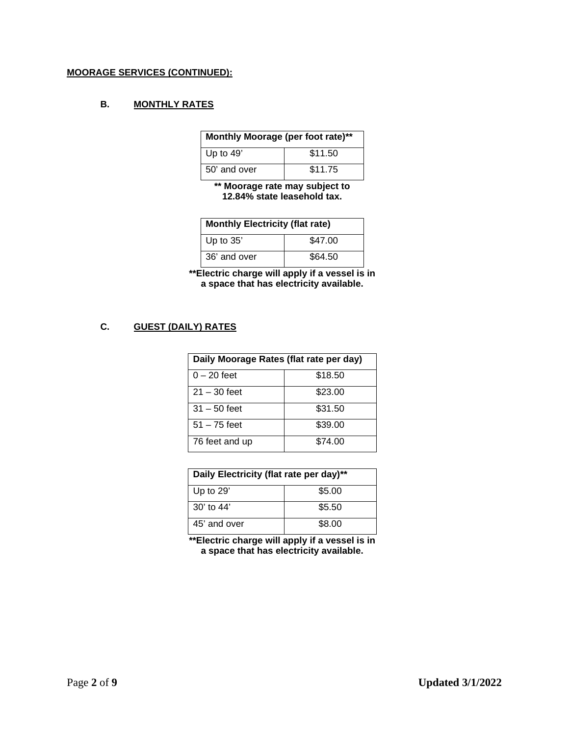## **MOORAGE SERVICES (CONTINUED):**

# **B. MONTHLY RATES**

| Monthly Moorage (per foot rate)** |         |
|-----------------------------------|---------|
| Up to 49'                         | \$11.50 |
| 50' and over                      | \$11.75 |

**\*\* Moorage rate may subject to 12.84% state leasehold tax.**

| <b>Monthly Electricity (flat rate)</b> |         |
|----------------------------------------|---------|
| Up to $35'$                            | \$47.00 |
| 36' and over                           | \$64.50 |

**\*\*Electric charge will apply if a vessel is in a space that has electricity available.**

## **C. GUEST (DAILY) RATES**

| Daily Moorage Rates (flat rate per day) |         |  |
|-----------------------------------------|---------|--|
| $0 - 20$ feet                           | \$18.50 |  |
| $21 - 30$ feet                          | \$23.00 |  |
| $31 - 50$ feet                          | \$31.50 |  |
| $51 - 75$ feet                          | \$39.00 |  |
| 76 feet and up                          | \$74.00 |  |

| Daily Electricity (flat rate per day)** |        |
|-----------------------------------------|--------|
| Up to $29'$                             | \$5.00 |
| $30'$ to 44'                            | \$5.50 |
| 45' and over                            | \$8.00 |

**\*\*Electric charge will apply if a vessel is in a space that has electricity available.**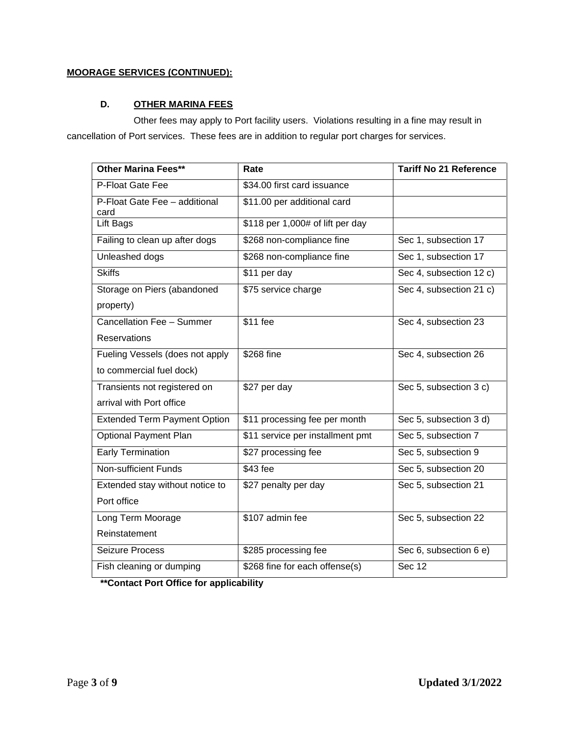# **MOORAGE SERVICES (CONTINUED):**

# **D. OTHER MARINA FEES**

Other fees may apply to Port facility users. Violations resulting in a fine may result in cancellation of Port services. These fees are in addition to regular port charges for services.

| <b>Other Marina Fees**</b>            | Rate                             | <b>Tariff No 21 Reference</b> |
|---------------------------------------|----------------------------------|-------------------------------|
| P-Float Gate Fee                      | \$34.00 first card issuance      |                               |
| P-Float Gate Fee - additional<br>card | \$11.00 per additional card      |                               |
| Lift Bags                             | \$118 per 1,000# of lift per day |                               |
| Failing to clean up after dogs        | \$268 non-compliance fine        | Sec 1, subsection 17          |
| Unleashed dogs                        | \$268 non-compliance fine        | Sec 1, subsection 17          |
| <b>Skiffs</b>                         | \$11 per day                     | Sec 4, subsection 12 c)       |
| Storage on Piers (abandoned           | \$75 service charge              | Sec 4, subsection 21 c)       |
| property)                             |                                  |                               |
| Cancellation Fee - Summer             | \$11 fee                         | Sec 4, subsection 23          |
| <b>Reservations</b>                   |                                  |                               |
| Fueling Vessels (does not apply       | \$268 fine                       | Sec 4, subsection 26          |
| to commercial fuel dock)              |                                  |                               |
| Transients not registered on          | \$27 per day                     | Sec 5, subsection 3 c)        |
| arrival with Port office              |                                  |                               |
| <b>Extended Term Payment Option</b>   | \$11 processing fee per month    | Sec 5, subsection 3 d)        |
| <b>Optional Payment Plan</b>          | \$11 service per installment pmt | Sec 5, subsection 7           |
| Early Termination                     | \$27 processing fee              | Sec 5, subsection 9           |
| <b>Non-sufficient Funds</b>           | \$43 fee                         | Sec 5, subsection 20          |
| Extended stay without notice to       | \$27 penalty per day             | Sec 5, subsection 21          |
| Port office                           |                                  |                               |
| Long Term Moorage                     | \$107 admin fee                  | Sec 5, subsection 22          |
| Reinstatement                         |                                  |                               |
| Seizure Process                       | \$285 processing fee             | Sec 6, subsection 6 e)        |
| Fish cleaning or dumping              | \$268 fine for each offense(s)   | <b>Sec 12</b>                 |

**\*\*Contact Port Office for applicability**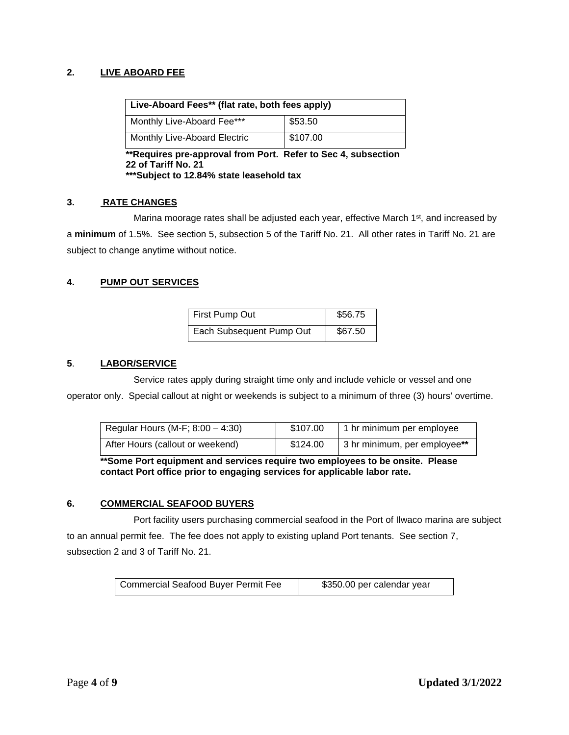# **2. LIVE ABOARD FEE**

| Live-Aboard Fees** (flat rate, both fees apply) |          |  |
|-------------------------------------------------|----------|--|
| Monthly Live-Aboard Fee***                      | \$53.50  |  |
| Monthly Live-Aboard Electric                    | \$107.00 |  |

**\*\*Requires pre-approval from Port. Refer to Sec 4, subsection 22 of Tariff No. 21 \*\*\*Subject to 12.84% state leasehold tax**

#### **3. RATE CHANGES**

Marina moorage rates shall be adjusted each year, effective March  $1<sup>st</sup>$ , and increased by a **minimum** of 1.5%. See section 5, subsection 5 of the Tariff No. 21. All other rates in Tariff No. 21 are subject to change anytime without notice.

#### **4. PUMP OUT SERVICES**

| First Pump Out           | \$56.75 |
|--------------------------|---------|
| Each Subsequent Pump Out | \$67.50 |

#### **5**. **LABOR/SERVICE**

Service rates apply during straight time only and include vehicle or vessel and one operator only. Special callout at night or weekends is subject to a minimum of three (3) hours' overtime.

| Regular Hours (M-F; $8:00 - 4:30$ ) | \$107.00 | 1 hr minimum per employee    |
|-------------------------------------|----------|------------------------------|
| After Hours (callout or weekend)    | \$124.00 | 3 hr minimum, per employee** |

**\*\*Some Port equipment and services require two employees to be onsite. Please contact Port office prior to engaging services for applicable labor rate.**

#### **6. COMMERCIAL SEAFOOD BUYERS**

Port facility users purchasing commercial seafood in the Port of Ilwaco marina are subject to an annual permit fee. The fee does not apply to existing upland Port tenants. See section 7, subsection 2 and 3 of Tariff No. 21.

| <b>Commercial Seafood Buyer Permit Fee</b> | \$350.00 per calendar year |
|--------------------------------------------|----------------------------|
|--------------------------------------------|----------------------------|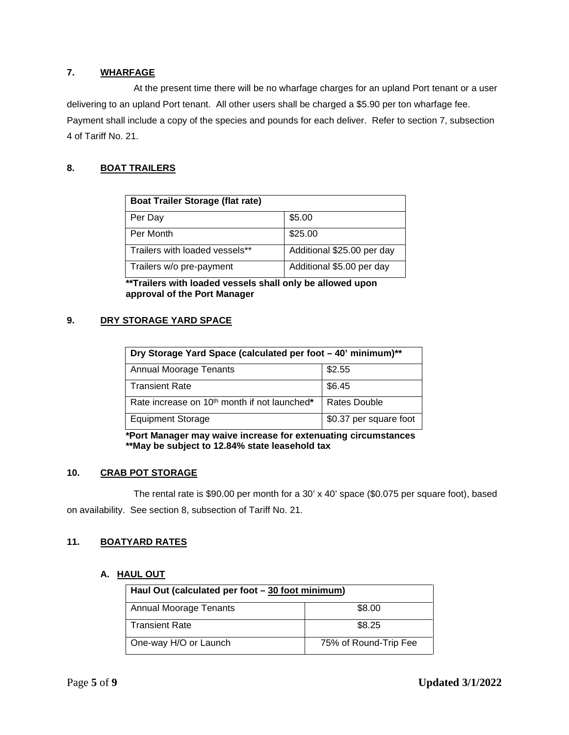## **7. WHARFAGE**

At the present time there will be no wharfage charges for an upland Port tenant or a user delivering to an upland Port tenant. All other users shall be charged a \$5.90 per ton wharfage fee. Payment shall include a copy of the species and pounds for each deliver. Refer to section 7, subsection 4 of Tariff No. 21.

# **8. BOAT TRAILERS**

| <b>Boat Trailer Storage (flat rate)</b> |                            |
|-----------------------------------------|----------------------------|
| Per Day                                 | \$5.00                     |
| Per Month                               | \$25.00                    |
| Trailers with loaded vessels**          | Additional \$25.00 per day |
| Trailers w/o pre-payment                | Additional \$5.00 per day  |

**\*\*Trailers with loaded vessels shall only be allowed upon approval of the Port Manager**

#### **9. DRY STORAGE YARD SPACE**

| Dry Storage Yard Space (calculated per foot - 40' minimum)** |                        |  |
|--------------------------------------------------------------|------------------------|--|
| \$2.55<br><b>Annual Moorage Tenants</b>                      |                        |  |
| <b>Transient Rate</b>                                        | \$6.45                 |  |
| Rate increase on 10 <sup>th</sup> month if not launched*     | Rates Double           |  |
| <b>Equipment Storage</b>                                     | \$0.37 per square foot |  |

**\*Port Manager may waive increase for extenuating circumstances \*\*May be subject to 12.84% state leasehold tax**

### **10. CRAB POT STORAGE**

The rental rate is \$90.00 per month for a 30' x 40' space (\$0.075 per square foot), based on availability. See section 8, subsection of Tariff No. 21.

### **11. BOATYARD RATES**

#### **A. HAUL OUT**

| Haul Out (calculated per foot - 30 foot minimum) |                       |
|--------------------------------------------------|-----------------------|
| <b>Annual Moorage Tenants</b>                    | \$8.00                |
| <b>Transient Rate</b>                            | \$8.25                |
| One-way H/O or Launch                            | 75% of Round-Trip Fee |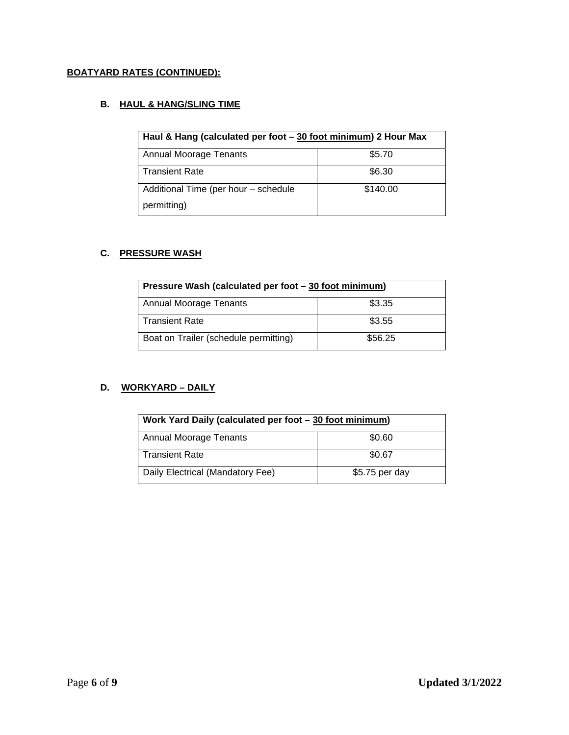# **BOATYARD RATES (CONTINUED):**

# **B. HAUL & HANG/SLING TIME**

| Haul & Hang (calculated per foot - 30 foot minimum) 2 Hour Max |          |
|----------------------------------------------------------------|----------|
| <b>Annual Moorage Tenants</b>                                  | \$5.70   |
| <b>Transient Rate</b>                                          | \$6.30   |
| Additional Time (per hour - schedule                           | \$140.00 |
| permitting)                                                    |          |

#### **C. PRESSURE WASH**

| Pressure Wash (calculated per foot - 30 foot minimum) |         |
|-------------------------------------------------------|---------|
| <b>Annual Moorage Tenants</b>                         | \$3.35  |
| <b>Transient Rate</b>                                 | \$3.55  |
| Boat on Trailer (schedule permitting)                 | \$56.25 |

# **D. WORKYARD – DAILY**

| Work Yard Daily (calculated per foot - 30 foot minimum) |                |
|---------------------------------------------------------|----------------|
| \$0.60<br><b>Annual Moorage Tenants</b>                 |                |
| <b>Transient Rate</b>                                   | \$0.67         |
| Daily Electrical (Mandatory Fee)                        | \$5.75 per day |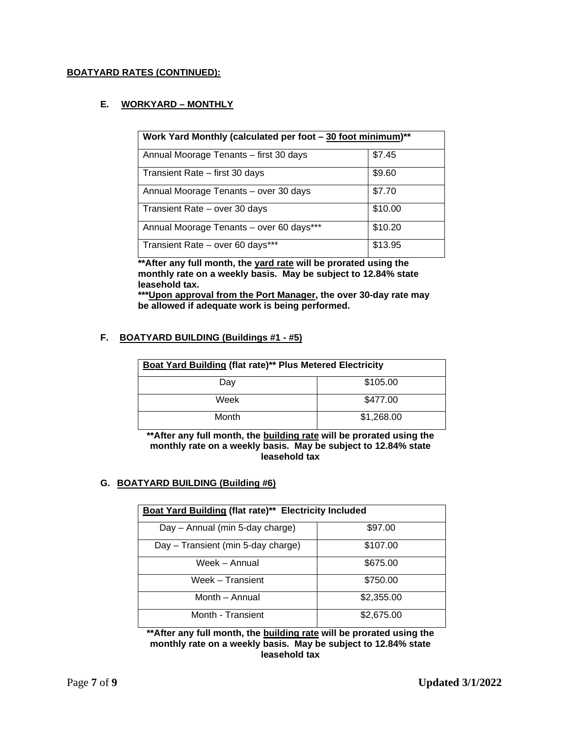### **BOATYARD RATES (CONTINUED):**

### **E. WORKYARD – MONTHLY**

| Work Yard Monthly (calculated per foot – 30 foot minimum)** |         |  |
|-------------------------------------------------------------|---------|--|
| Annual Moorage Tenants - first 30 days                      | \$7.45  |  |
| Transient Rate - first 30 days                              | \$9.60  |  |
| Annual Moorage Tenants - over 30 days                       | \$7.70  |  |
| Transient Rate - over 30 days                               | \$10.00 |  |
| Annual Moorage Tenants - over 60 days***                    | \$10.20 |  |
| Transient Rate - over 60 days***                            | \$13.95 |  |

**\*\*After any full month, the yard rate will be prorated using the monthly rate on a weekly basis. May be subject to 12.84% state leasehold tax.** 

**\*\*\*Upon approval from the Port Manager, the over 30-day rate may be allowed if adequate work is being performed.** 

#### **F. BOATYARD BUILDING (Buildings #1 - #5)**

| Boat Yard Building (flat rate)** Plus Metered Electricity |            |
|-----------------------------------------------------------|------------|
| Day                                                       | \$105.00   |
| Week                                                      | \$477.00   |
| Month                                                     | \$1,268.00 |

**\*\*After any full month, the building rate will be prorated using the monthly rate on a weekly basis. May be subject to 12.84% state leasehold tax**

#### **G. BOATYARD BUILDING (Building #6)**

| Boat Yard Building (flat rate)** Electricity Included |            |  |
|-------------------------------------------------------|------------|--|
| Day - Annual (min 5-day charge)                       | \$97.00    |  |
| Day - Transient (min 5-day charge)                    | \$107.00   |  |
| Week - Annual                                         | \$675.00   |  |
| Week - Transient                                      | \$750.00   |  |
| Month - Annual                                        | \$2,355.00 |  |
| Month - Transient                                     | \$2,675.00 |  |

**\*\*After any full month, the building rate will be prorated using the monthly rate on a weekly basis. May be subject to 12.84% state leasehold tax**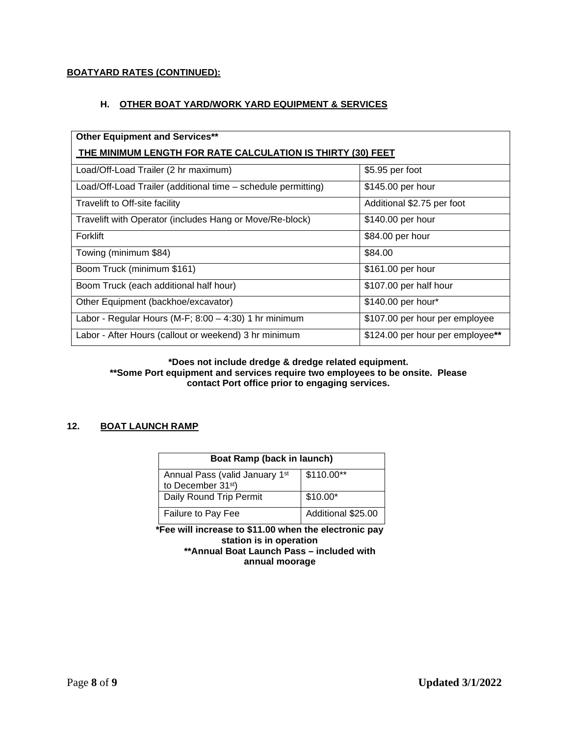# **BOATYARD RATES (CONTINUED):**

## **H. OTHER BOAT YARD/WORK YARD EQUIPMENT & SERVICES**

| <b>Other Equipment and Services**</b>                         |                                  |  |
|---------------------------------------------------------------|----------------------------------|--|
| THE MINIMUM LENGTH FOR RATE CALCULATION IS THIRTY (30) FEET   |                                  |  |
| Load/Off-Load Trailer (2 hr maximum)                          | \$5.95 per foot                  |  |
| Load/Off-Load Trailer (additional time - schedule permitting) | \$145.00 per hour                |  |
| Travelift to Off-site facility                                | Additional \$2.75 per foot       |  |
| Travelift with Operator (includes Hang or Move/Re-block)      | \$140.00 per hour                |  |
| Forklift                                                      | \$84.00 per hour                 |  |
| Towing (minimum \$84)                                         | \$84.00                          |  |
| Boom Truck (minimum \$161)                                    | \$161.00 per hour                |  |
| Boom Truck (each additional half hour)                        | \$107.00 per half hour           |  |
| Other Equipment (backhoe/excavator)                           | \$140.00 per hour*               |  |
| Labor - Regular Hours (M-F; $8:00 - 4:30$ ) 1 hr minimum      | \$107.00 per hour per employee   |  |
| Labor - After Hours (callout or weekend) 3 hr minimum         | \$124.00 per hour per employee** |  |

#### **\*Does not include dredge & dredge related equipment. \*\*Some Port equipment and services require two employees to be onsite. Please contact Port office prior to engaging services.**

### **12. BOAT LAUNCH RAMP**

| Boat Ramp (back in launch)                                       |                    |
|------------------------------------------------------------------|--------------------|
| Annual Pass (valid January 1st<br>to December 31 <sup>st</sup> ) | $$110.00**$        |
| Daily Round Trip Permit                                          | $$10.00*$          |
| Failure to Pay Fee                                               | Additional \$25.00 |

**\*Fee will increase to \$11.00 when the electronic pay station is in operation \*\*Annual Boat Launch Pass – included with annual moorage**